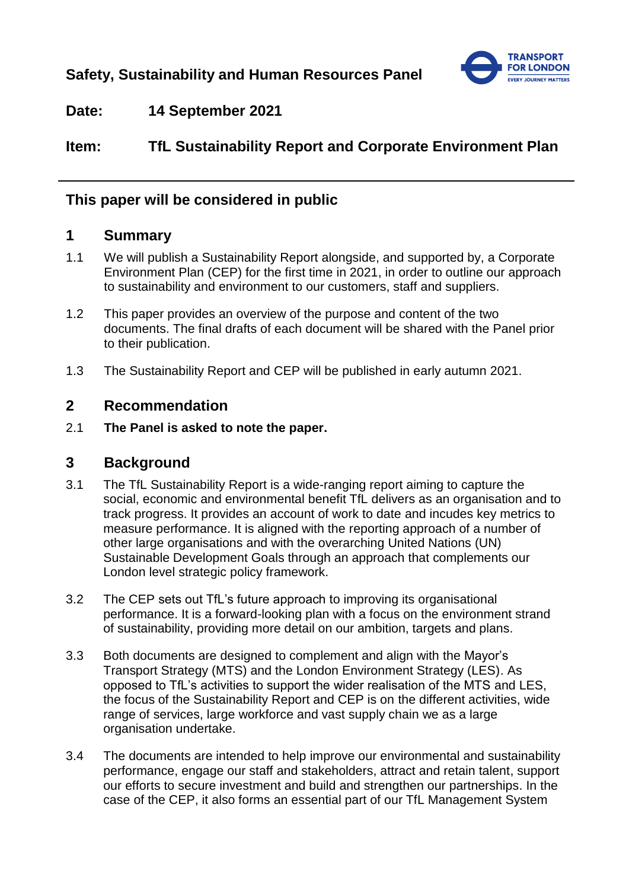

## **Date: 14 September 2021**

# **Item: TfL Sustainability Report and Corporate Environment Plan**

## **This paper will be considered in public**

## **1 Summary**

- 1.1 We will publish a Sustainability Report alongside, and supported by, a Corporate Environment Plan (CEP) for the first time in 2021, in order to outline our approach to sustainability and environment to our customers, staff and suppliers.
- 1.2 This paper provides an overview of the purpose and content of the two documents. The final drafts of each document will be shared with the Panel prior to their publication.
- 1.3 The Sustainability Report and CEP will be published in early autumn 2021.

### **2 Recommendation**

2.1 **The Panel is asked to note the paper.**

### **3 Background**

- 3.1 The TfL Sustainability Report is a wide-ranging report aiming to capture the social, economic and environmental benefit TfL delivers as an organisation and to track progress. It provides an account of work to date and incudes key metrics to measure performance. It is aligned with the reporting approach of a number of other large organisations and with the overarching United Nations (UN) Sustainable Development Goals through an approach that complements our London level strategic policy framework.
- 3.2 The CEP sets out TfL's future approach to improving its organisational performance. It is a forward-looking plan with a focus on the environment strand of sustainability, providing more detail on our ambition, targets and plans.
- 3.3 Both documents are designed to complement and align with the Mayor's Transport Strategy (MTS) and the London Environment Strategy (LES). As opposed to TfL's activities to support the wider realisation of the MTS and LES, the focus of the Sustainability Report and CEP is on the different activities, wide range of services, large workforce and vast supply chain we as a large organisation undertake.
- 3.4 The documents are intended to help improve our environmental and sustainability performance, engage our staff and stakeholders, attract and retain talent, support our efforts to secure investment and build and strengthen our partnerships. In the case of the CEP, it also forms an essential part of our TfL Management System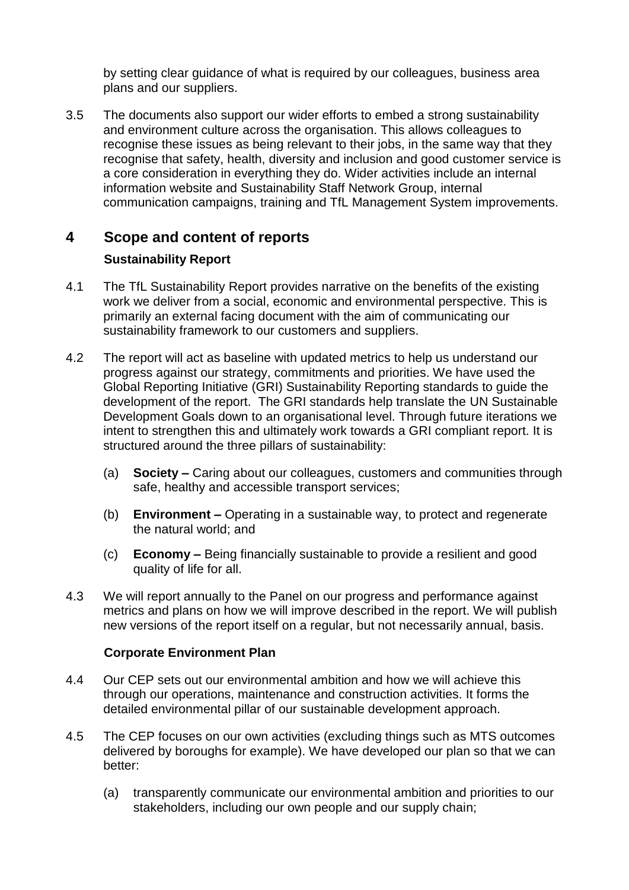by setting clear guidance of what is required by our colleagues, business area plans and our suppliers.

3.5 The documents also support our wider efforts to embed a strong sustainability and environment culture across the organisation. This allows colleagues to recognise these issues as being relevant to their jobs, in the same way that they recognise that safety, health, diversity and inclusion and good customer service is a core consideration in everything they do. Wider activities include an internal information website and Sustainability Staff Network Group, internal communication campaigns, training and TfL Management System improvements.

# **4 Scope and content of reports Sustainability Report**

- 4.1 The TfL Sustainability Report provides narrative on the benefits of the existing work we deliver from a social, economic and environmental perspective. This is primarily an external facing document with the aim of communicating our sustainability framework to our customers and suppliers.
- 4.2 The report will act as baseline with updated metrics to help us understand our progress against our strategy, commitments and priorities. We have used the Global Reporting Initiative (GRI) Sustainability Reporting standards to guide the development of the report. The GRI standards help translate the UN Sustainable Development Goals down to an organisational level. Through future iterations we intent to strengthen this and ultimately work towards a GRI compliant report. It is structured around the three pillars of sustainability:
	- (a) **Society –** Caring about our colleagues, customers and communities through safe, healthy and accessible transport services;
	- (b) **Environment –** Operating in a sustainable way, to protect and regenerate the natural world; and
	- (c) **Economy –** Being financially sustainable to provide a resilient and good quality of life for all.
- 4.3 We will report annually to the Panel on our progress and performance against metrics and plans on how we will improve described in the report. We will publish new versions of the report itself on a regular, but not necessarily annual, basis.

#### **Corporate Environment Plan**

- 4.4 Our CEP sets out our environmental ambition and how we will achieve this through our operations, maintenance and construction activities. It forms the detailed environmental pillar of our sustainable development approach.
- 4.5 The CEP focuses on our own activities (excluding things such as MTS outcomes delivered by boroughs for example). We have developed our plan so that we can better:
	- (a) transparently communicate our environmental ambition and priorities to our stakeholders, including our own people and our supply chain;